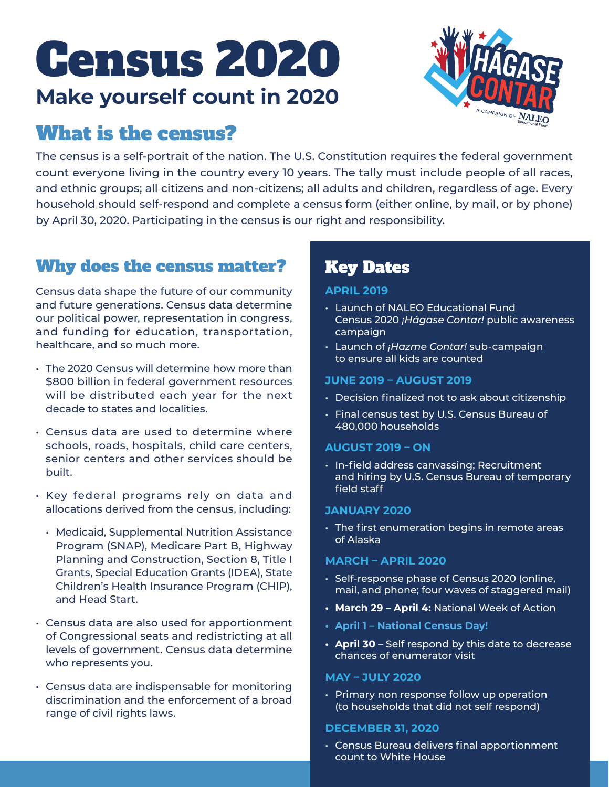# Census 2020 **Make yourself count in 2020**



# What is the census?

The census is a self-portrait of the nation. The U.S. Constitution requires the federal government count everyone living in the country every 10 years. The tally must include people of all races, and ethnic groups; all citizens and non-citizens; all adults and children, regardless of age. Every household should self-respond and complete a census form (either online, by mail, or by phone) by April 30, 2020. Participating in the census is our right and responsibility.

# Why does the census matter?

Census data shape the future of our community and future generations. Census data determine our political power, representation in congress, and funding for education, transportation, healthcare, and so much more.

- The 2020 Census will determine how more than \$800 billion in federal government resources will be distributed each year for the next decade to states and localities.
- Census data are used to determine where schools, roads, hospitals, child care centers, senior centers and other services should be built.
- Key federal programs rely on data and allocations derived from the census, including:
	- Medicaid, Supplemental Nutrition Assistance Program (SNAP), Medicare Part B, Highway Planning and Construction, Section 8, Title I Grants, Special Education Grants (IDEA), State Children's Health Insurance Program (CHIP), and Head Start.
- Census data are also used for apportionment of Congressional seats and redistricting at all levels of government. Census data determine who represents you.
- Census data are indispensable for monitoring discrimination and the enforcement of a broad range of civil rights laws.

# Key Dates

#### **APRIL 2019**

- Launch of NALEO Educational Fund Census 2020 *¡Hágase Contar!* public awareness campaign
- Launch of *¡Hazme Contar!* sub-campaign to ensure all kids are counted

#### **JUNE 2019 – AUGUST 2019**

- Decision finalized not to ask about citizenship
- Final census test by U.S. Census Bureau of 480,000 households

#### **AUGUST 2019 – ON**

• In-field address canvassing; Recruitment and hiring by U.S. Census Bureau of temporary field staff

#### **JANUARY 2020**

• The first enumeration begins in remote areas of Alaska

#### **MARCH – APRIL 2020**

- Self-response phase of Census 2020 (online, mail, and phone; four waves of staggered mail)
- **• March 29 April 4:** National Week of Action
- **• April 1 National Census Day!**
- **• April 30** Self respond by this date to decrease chances of enumerator visit

#### **MAY – JULY 2020**

• Primary non response follow up operation (to households that did not self respond)

#### **DECEMBER 31, 2020**

• Census Bureau delivers final apportionment count to White House